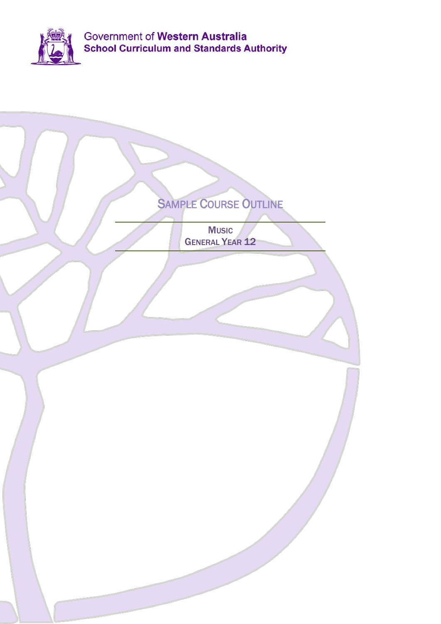

| <b>SAMPLE COURSE OUTLINE</b><br><b>Music</b><br><b>GENERAL YEAR 12</b> |
|------------------------------------------------------------------------|
|                                                                        |
|                                                                        |
|                                                                        |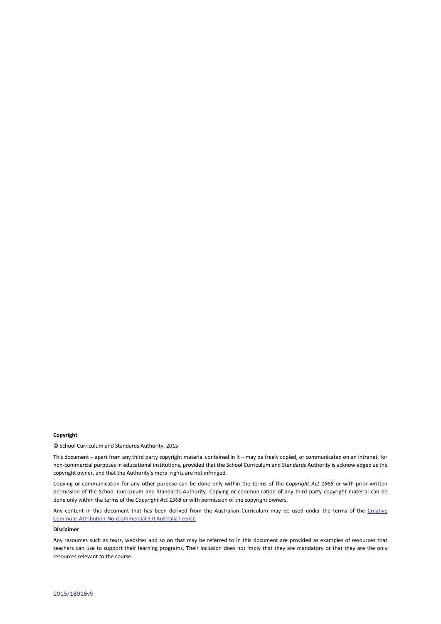#### **Copyright**

© School Curriculum and Standards Authority, 2015

This document – apart from any third party copyright material contained in it – may be freely copied, or communicated on an intranet, for non-commercial purposes in educational institutions, provided that the School Curriculum and Standards Authority is acknowledged as the copyright owner, and that the Authority's moral rights are not infringed.

Copying or communication for any other purpose can be done only within the terms of the *Copyright Act 1968* or with prior written permission of the School Curriculum and Standards Authority. Copying or communication of any third party copyright material can be done only within the terms of the *Copyright Act 1968* or with permission of the copyright owners.

Any content in this document that has been derived from the Australian Curriculum may be used under the terms of the Creative [Commons Attribution-NonCommercial 3.0 Australia licence](http://creativecommons.org/licenses/by-nc/3.0/au/)

#### **Disclaimer**

Any resources such as texts, websites and so on that may be referred to in this document are provided as examples of resources that teachers can use to support their learning programs. Their inclusion does not imply that they are mandatory or that they are the only resources relevant to the course.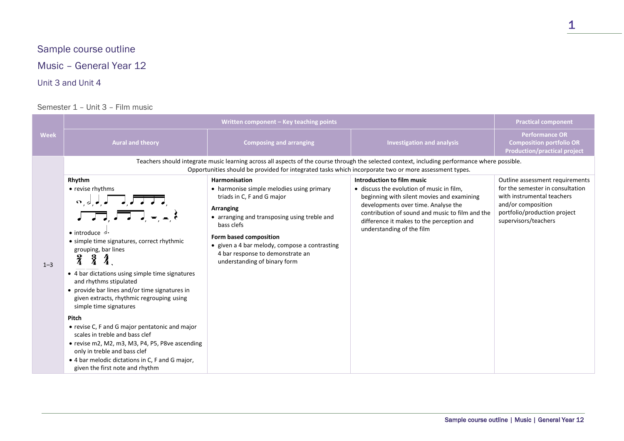# Sample course outline

Music – General Year 12

## Unit 3 and Unit 4

## Semester 1 – Unit 3 – Film music

|             | Written component - Key teaching points                                                                                                                                                                                                                                                                                                                                                                                                                                                                                                                                                                                                                                                                                                           |                                                                                                                                                                                                                                                                                                                    | <b>Practical component</b>                                                                                                                                                                                                                                                                |                                                                                                                                                                                 |
|-------------|---------------------------------------------------------------------------------------------------------------------------------------------------------------------------------------------------------------------------------------------------------------------------------------------------------------------------------------------------------------------------------------------------------------------------------------------------------------------------------------------------------------------------------------------------------------------------------------------------------------------------------------------------------------------------------------------------------------------------------------------------|--------------------------------------------------------------------------------------------------------------------------------------------------------------------------------------------------------------------------------------------------------------------------------------------------------------------|-------------------------------------------------------------------------------------------------------------------------------------------------------------------------------------------------------------------------------------------------------------------------------------------|---------------------------------------------------------------------------------------------------------------------------------------------------------------------------------|
| <b>Week</b> | <b>Aural and theory</b>                                                                                                                                                                                                                                                                                                                                                                                                                                                                                                                                                                                                                                                                                                                           | <b>Composing and arranging</b>                                                                                                                                                                                                                                                                                     | <b>Investigation and analysis</b>                                                                                                                                                                                                                                                         | <b>Performance OR</b><br><b>Composition portfolio OR</b><br><b>Production/practical project</b>                                                                                 |
|             |                                                                                                                                                                                                                                                                                                                                                                                                                                                                                                                                                                                                                                                                                                                                                   | Opportunities should be provided for integrated tasks which incorporate two or more assessment types.                                                                                                                                                                                                              | Teachers should integrate music learning across all aspects of the course through the selected context, including performance where possible.                                                                                                                                             |                                                                                                                                                                                 |
| $1 - 3$     | Rhythm<br>• revise rhythms<br>$\begin{array}{c} \circ, \circ, \circ, \star \end{array}$ $\begin{array}{c} \begin{array}{c} \bullet \\ \star \end{array} \end{array}$<br>• introduce $\sigma$<br>• simple time signatures, correct rhythmic<br>grouping, bar lines<br>ž<br>• 4 bar dictations using simple time signatures<br>and rhythms stipulated<br>• provide bar lines and/or time signatures in<br>given extracts, rhythmic regrouping using<br>simple time signatures<br>Pitch<br>• revise C, F and G major pentatonic and major<br>scales in treble and bass clef<br>• revise m2, M2, m3, M3, P4, P5, P8ve ascending<br>only in treble and bass clef<br>• 4 bar melodic dictations in C, F and G major,<br>given the first note and rhythm | Harmonisation<br>• harmonise simple melodies using primary<br>triads in C, F and G major<br>Arranging<br>• arranging and transposing using treble and<br>bass clefs<br>Form based composition<br>• given a 4 bar melody, compose a contrasting<br>4 bar response to demonstrate an<br>understanding of binary form | Introduction to film music<br>• discuss the evolution of music in film,<br>beginning with silent movies and examining<br>developments over time. Analyse the<br>contribution of sound and music to film and the<br>difference it makes to the perception and<br>understanding of the film | Outline assessment requirements<br>for the semester in consultation<br>with instrumental teachers<br>and/or composition<br>portfolio/production project<br>supervisors/teachers |

1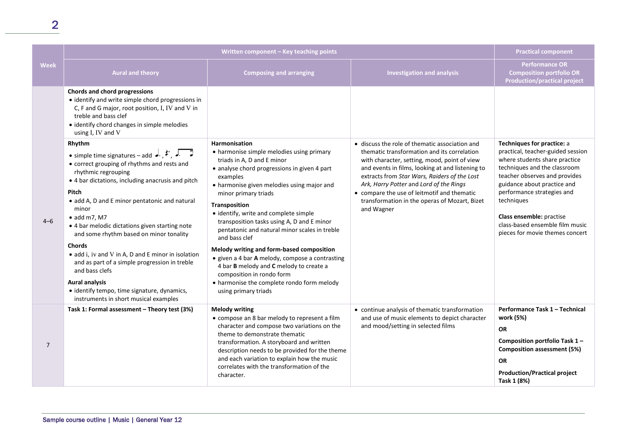2

|                | Written component - Key teaching points                                                                                                                                                                                                                                                                                                                                                                                                                                                                                                                                                                                                                           |                                                                                                                                                                                                                                                                                                                                                                                                                                                                                                                                                                                                                                                           | <b>Practical component</b>                                                                                                                                                                                                                                                                                                                                                                                 |                                                                                                                                                                                                                                                                                                                                                |
|----------------|-------------------------------------------------------------------------------------------------------------------------------------------------------------------------------------------------------------------------------------------------------------------------------------------------------------------------------------------------------------------------------------------------------------------------------------------------------------------------------------------------------------------------------------------------------------------------------------------------------------------------------------------------------------------|-----------------------------------------------------------------------------------------------------------------------------------------------------------------------------------------------------------------------------------------------------------------------------------------------------------------------------------------------------------------------------------------------------------------------------------------------------------------------------------------------------------------------------------------------------------------------------------------------------------------------------------------------------------|------------------------------------------------------------------------------------------------------------------------------------------------------------------------------------------------------------------------------------------------------------------------------------------------------------------------------------------------------------------------------------------------------------|------------------------------------------------------------------------------------------------------------------------------------------------------------------------------------------------------------------------------------------------------------------------------------------------------------------------------------------------|
| <b>Week</b>    | <b>Aural and theory</b>                                                                                                                                                                                                                                                                                                                                                                                                                                                                                                                                                                                                                                           | <b>Composing and arranging</b>                                                                                                                                                                                                                                                                                                                                                                                                                                                                                                                                                                                                                            | <b>Investigation and analysis</b>                                                                                                                                                                                                                                                                                                                                                                          | <b>Performance OR</b><br><b>Composition portfolio OR</b><br><b>Production/practical project</b>                                                                                                                                                                                                                                                |
|                | Chords and chord progressions<br>• identify and write simple chord progressions in<br>C, F and G major, root position, I, IV and V in<br>treble and bass clef<br>• identify chord changes in simple melodies<br>using I, IV and V                                                                                                                                                                                                                                                                                                                                                                                                                                 |                                                                                                                                                                                                                                                                                                                                                                                                                                                                                                                                                                                                                                                           |                                                                                                                                                                                                                                                                                                                                                                                                            |                                                                                                                                                                                                                                                                                                                                                |
| $4 - 6$        | Rhythm<br>• simple time signatures – add $\downarrow$ , $\leftarrow$ , $\downarrow$<br>• correct grouping of rhythms and rests and<br>rhythmic regrouping<br>• 4 bar dictations, including anacrusis and pitch<br>Pitch<br>• add A, D and E minor pentatonic and natural<br>minor<br>$\bullet$ add m7, M7<br>• 4 bar melodic dictations given starting note<br>and some rhythm based on minor tonality<br><b>Chords</b><br>• add i, iv and V in A, D and E minor in isolation<br>and as part of a simple progression in treble<br>and bass clefs<br><b>Aural analysis</b><br>• identify tempo, time signature, dynamics,<br>instruments in short musical examples | <b>Harmonisation</b><br>• harmonise simple melodies using primary<br>triads in A, D and E minor<br>• analyse chord progressions in given 4 part<br>examples<br>• harmonise given melodies using major and<br>minor primary triads<br>Transposition<br>· identify, write and complete simple<br>transposition tasks using A, D and E minor<br>pentatonic and natural minor scales in treble<br>and bass clef<br>Melody writing and form-based composition<br>• given a 4 bar A melody, compose a contrasting<br>4 bar B melody and C melody to create a<br>composition in rondo form<br>• harmonise the complete rondo form melody<br>using primary triads | • discuss the role of thematic association and<br>thematic transformation and its correlation<br>with character, setting, mood, point of view<br>and events in films, looking at and listening to<br>extracts from Star Wars, Raiders of the Lost<br>Ark, Harry Potter and Lord of the Rings<br>• compare the use of leitmotif and thematic<br>transformation in the operas of Mozart, Bizet<br>and Wagner | Techniques for practice: a<br>practical, teacher-guided session<br>where students share practice<br>techniques and the classroom<br>teacher observes and provides<br>guidance about practice and<br>performance strategies and<br>techniques<br>Class ensemble: practise<br>class-based ensemble film music<br>pieces for movie themes concert |
| $\overline{7}$ | Task 1: Formal assessment - Theory test (3%)                                                                                                                                                                                                                                                                                                                                                                                                                                                                                                                                                                                                                      | <b>Melody writing</b><br>• compose an 8 bar melody to represent a film<br>character and compose two variations on the<br>theme to demonstrate thematic<br>transformation. A storyboard and written<br>description needs to be provided for the theme<br>and each variation to explain how the music<br>correlates with the transformation of the<br>character.                                                                                                                                                                                                                                                                                            | • continue analysis of thematic transformation<br>and use of music elements to depict character<br>and mood/setting in selected films                                                                                                                                                                                                                                                                      | Performance Task 1 - Technical<br>work (5%)<br><b>OR</b><br>Composition portfolio Task 1-<br><b>Composition assessment (5%)</b><br><b>OR</b><br><b>Production/Practical project</b><br>Task 1 (8%)                                                                                                                                             |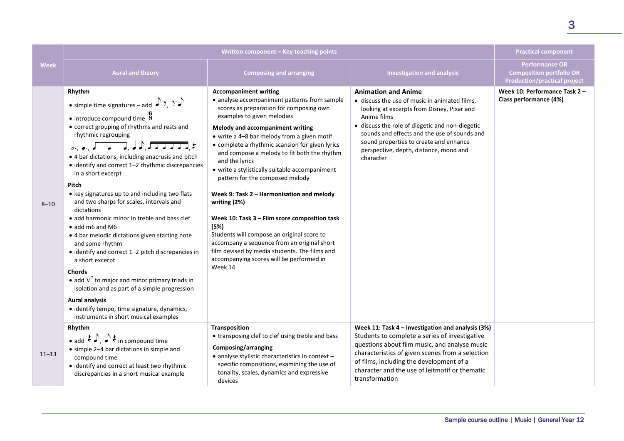|             | Written component - Key teaching points                                                                                                                                                                                                                                                                                                                                                                                                                                                                                                                                                                                                                                                                                                                                                                                                                                                                                                                                                                                                                                                                                                                                                                                                                                                              |                                                                                                                                                                                                                                                                                                                                                                                                                                                                                                                                                                                                                                                                                                                                                                              | <b>Practical component</b>                                                                                                                                                                                                                                                                                                                   |                                                                                                 |
|-------------|------------------------------------------------------------------------------------------------------------------------------------------------------------------------------------------------------------------------------------------------------------------------------------------------------------------------------------------------------------------------------------------------------------------------------------------------------------------------------------------------------------------------------------------------------------------------------------------------------------------------------------------------------------------------------------------------------------------------------------------------------------------------------------------------------------------------------------------------------------------------------------------------------------------------------------------------------------------------------------------------------------------------------------------------------------------------------------------------------------------------------------------------------------------------------------------------------------------------------------------------------------------------------------------------------|------------------------------------------------------------------------------------------------------------------------------------------------------------------------------------------------------------------------------------------------------------------------------------------------------------------------------------------------------------------------------------------------------------------------------------------------------------------------------------------------------------------------------------------------------------------------------------------------------------------------------------------------------------------------------------------------------------------------------------------------------------------------------|----------------------------------------------------------------------------------------------------------------------------------------------------------------------------------------------------------------------------------------------------------------------------------------------------------------------------------------------|-------------------------------------------------------------------------------------------------|
| <b>Week</b> | <b>Aural and theory</b>                                                                                                                                                                                                                                                                                                                                                                                                                                                                                                                                                                                                                                                                                                                                                                                                                                                                                                                                                                                                                                                                                                                                                                                                                                                                              | <b>Composing and arranging</b>                                                                                                                                                                                                                                                                                                                                                                                                                                                                                                                                                                                                                                                                                                                                               | <b>Investigation and analysis</b>                                                                                                                                                                                                                                                                                                            | <b>Performance OR</b><br><b>Composition portfolio OR</b><br><b>Production/practical project</b> |
| $8 - 10$    | Rhythm<br>• simple time signatures – add $\sqrt{7}$ , $7\sqrt{2}$<br>$\bullet$ introduce compound time $\overline{8}$<br>• correct grouping of rhythms and rests and<br>rhythmic regrouping<br>$\int_{\mathbb{R}^n} \int_{\mathbb{R}^n} \int_{\mathbb{R}^n} \int_{\mathbb{R}^n} \int_{\mathbb{R}^n} \int_{\mathbb{R}^n} \int_{\mathbb{R}^n} \int_{\mathbb{R}^n} \int_{\mathbb{R}^n} \int_{\mathbb{R}^n} \int_{\mathbb{R}^n} \int_{\mathbb{R}^n} \int_{\mathbb{R}^n} \int_{\mathbb{R}^n} \int_{\mathbb{R}^n} \int_{\mathbb{R}^n} \int_{\mathbb{R}^n} \int_{\mathbb{R}^n} \int_{\$<br>• 4 bar dictations, including anacrusis and pitch<br>• identify and correct 1-2 rhythmic discrepancies<br>in a short excerpt<br>Pitch<br>• key signatures up to and including two flats<br>and two sharps for scales, intervals and<br>dictations<br>• add harmonic minor in treble and bass clef<br>$\bullet$ add m6 and M6<br>• 4 bar melodic dictations given starting note<br>and some rhythm<br>• identify and correct 1-2 pitch discrepancies in<br>a short excerpt<br><b>Chords</b><br>• add $V^7$ to major and minor primary triads in<br>isolation and as part of a simple progression<br><b>Aural analysis</b><br>• identify tempo, time signature, dynamics,<br>instruments in short musical examples | <b>Accompaniment writing</b><br>• analyse accompaniment patterns from sample<br>scores as preparation for composing own<br>examples to given melodies<br>Melody and accompaniment writing<br>• write a 4-8 bar melody from a given motif<br>• complete a rhythmic scansion for given lyrics<br>and compose a melody to fit both the rhythm<br>and the lyrics<br>• write a stylistically suitable accompaniment<br>pattern for the composed melody<br>Week 9: Task 2 - Harmonisation and melody<br>writing (2%)<br>Week 10: Task 3 - Film score composition task<br>(5%)<br>Students will compose an original score to<br>accompany a sequence from an original short<br>film devised by media students. The films and<br>accompanying scores will be performed in<br>Week 14 | <b>Animation and Anime</b><br>· discuss the use of music in animated films,<br>looking at excerpts from Disney, Pixar and<br>Anime films<br>· discuss the role of diegetic and non-diegetic<br>sounds and effects and the use of sounds and<br>sound properties to create and enhance<br>perspective, depth, distance, mood and<br>character | Week 10: Performance Task 2 -<br>Class performance (4%)                                         |
| $11 - 13$   | Rhythm<br>• add $\langle \cdot \rangle$ , $\rightarrow$ $\langle \cdot \rangle$ in compound time<br>• simple 2-4 bar dictations in simple and<br>compound time<br>• identify and correct at least two rhythmic<br>discrepancies in a short musical example                                                                                                                                                                                                                                                                                                                                                                                                                                                                                                                                                                                                                                                                                                                                                                                                                                                                                                                                                                                                                                           | Transposition<br>• transposing clef to clef using treble and bass<br>Composing/arranging<br>• analyse stylistic characteristics in context -<br>specific compositions, examining the use of<br>tonality, scales, dynamics and expressive<br>devices                                                                                                                                                                                                                                                                                                                                                                                                                                                                                                                          | Week 11: Task 4 - Investigation and analysis (3%)<br>Students to complete a series of investigative<br>questions about film music, and analyse music<br>characteristics of given scenes from a selection<br>of films, including the development of a<br>character and the use of leitmotif or thematic<br>transformation                     |                                                                                                 |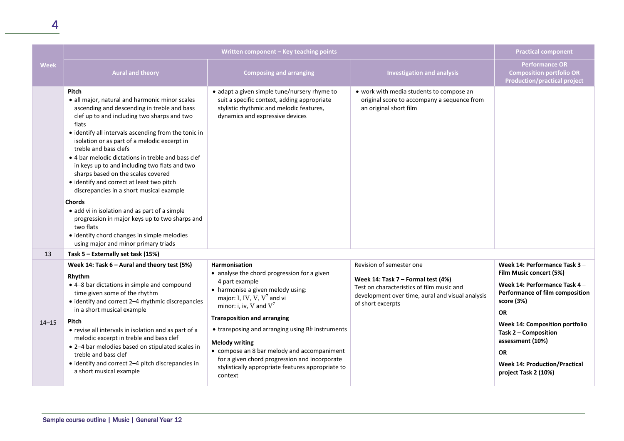|             | Written component - Key teaching points                                                                                                                                                                                                                                                                                                                                                                                                                                                                                                                                                                                                                                                                                                                              |                                                                                                                                                                                                                                                                                                                                                                                                                                                             | <b>Practical component</b>                                                                                                                               |                                                                                                                                                                                                                                                                                   |
|-------------|----------------------------------------------------------------------------------------------------------------------------------------------------------------------------------------------------------------------------------------------------------------------------------------------------------------------------------------------------------------------------------------------------------------------------------------------------------------------------------------------------------------------------------------------------------------------------------------------------------------------------------------------------------------------------------------------------------------------------------------------------------------------|-------------------------------------------------------------------------------------------------------------------------------------------------------------------------------------------------------------------------------------------------------------------------------------------------------------------------------------------------------------------------------------------------------------------------------------------------------------|----------------------------------------------------------------------------------------------------------------------------------------------------------|-----------------------------------------------------------------------------------------------------------------------------------------------------------------------------------------------------------------------------------------------------------------------------------|
| <b>Week</b> | <b>Aural and theory</b>                                                                                                                                                                                                                                                                                                                                                                                                                                                                                                                                                                                                                                                                                                                                              | <b>Composing and arranging</b>                                                                                                                                                                                                                                                                                                                                                                                                                              | <b>Investigation and analysis</b>                                                                                                                        | <b>Performance OR</b><br><b>Composition portfolio OR</b><br><b>Production/practical project</b>                                                                                                                                                                                   |
|             | <b>Pitch</b><br>• all major, natural and harmonic minor scales<br>ascending and descending in treble and bass<br>clef up to and including two sharps and two<br>flats<br>• identify all intervals ascending from the tonic in<br>isolation or as part of a melodic excerpt in<br>treble and bass clefs<br>• 4 bar melodic dictations in treble and bass clef<br>in keys up to and including two flats and two<br>sharps based on the scales covered<br>• identify and correct at least two pitch<br>discrepancies in a short musical example<br><b>Chords</b><br>• add vi in isolation and as part of a simple<br>progression in major keys up to two sharps and<br>two flats<br>• identify chord changes in simple melodies<br>using major and minor primary triads | • adapt a given simple tune/nursery rhyme to<br>suit a specific context, adding appropriate<br>stylistic rhythmic and melodic features,<br>dynamics and expressive devices                                                                                                                                                                                                                                                                                  | • work with media students to compose an<br>original score to accompany a sequence from<br>an original short film                                        |                                                                                                                                                                                                                                                                                   |
| 13          | Task 5 – Externally set task (15%)                                                                                                                                                                                                                                                                                                                                                                                                                                                                                                                                                                                                                                                                                                                                   |                                                                                                                                                                                                                                                                                                                                                                                                                                                             |                                                                                                                                                          |                                                                                                                                                                                                                                                                                   |
|             | Week 14: Task 6 - Aural and theory test (5%)                                                                                                                                                                                                                                                                                                                                                                                                                                                                                                                                                                                                                                                                                                                         | <b>Harmonisation</b>                                                                                                                                                                                                                                                                                                                                                                                                                                        | Revision of semester one                                                                                                                                 | Week 14: Performance Task 3 -                                                                                                                                                                                                                                                     |
| $14 - 15$   | Rhythm<br>• 4-8 bar dictations in simple and compound<br>time given some of the rhythm<br>• identify and correct 2-4 rhythmic discrepancies<br>in a short musical example<br>Pitch<br>• revise all intervals in isolation and as part of a<br>melodic excerpt in treble and bass clef<br>• 2-4 bar melodies based on stipulated scales in<br>treble and bass clef<br>• identify and correct 2-4 pitch discrepancies in<br>a short musical example                                                                                                                                                                                                                                                                                                                    | • analyse the chord progression for a given<br>4 part example<br>• harmonise a given melody using:<br>major: I, IV, V, $V^7$ and vi<br>minor: i, iv, V and $V^7$<br><b>Transposition and arranging</b><br>• transposing and arranging using $B\dot{b}$ instruments<br><b>Melody writing</b><br>• compose an 8 bar melody and accompaniment<br>for a given chord progression and incorporate<br>stylistically appropriate features appropriate to<br>context | Week 14: Task 7 - Formal test (4%)<br>Test on characteristics of film music and<br>development over time, aural and visual analysis<br>of short excerpts | Film Music concert (5%)<br>Week 14: Performance Task 4 -<br>Performance of film composition<br>score (3%)<br><b>OR</b><br>Week 14: Composition portfolio<br>Task 2 - Composition<br>assessment (10%)<br><b>OR</b><br><b>Week 14: Production/Practical</b><br>project Task 2 (10%) |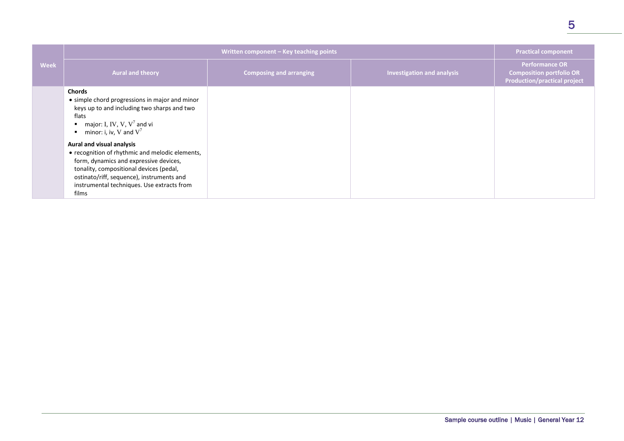|             | Written component - Key teaching points                                                                                                                                                                                                                               |                                | <b>Practical component</b>        |                                                                                                 |
|-------------|-----------------------------------------------------------------------------------------------------------------------------------------------------------------------------------------------------------------------------------------------------------------------|--------------------------------|-----------------------------------|-------------------------------------------------------------------------------------------------|
| <b>Week</b> | <b>Aural and theory</b>                                                                                                                                                                                                                                               | <b>Composing and arranging</b> | <b>Investigation and analysis</b> | <b>Performance OR</b><br><b>Composition portfolio OR</b><br><b>Production/practical project</b> |
|             | <b>Chords</b><br>• simple chord progressions in major and minor<br>keys up to and including two sharps and two<br>flats<br>major: I, IV, V, $V^7$ and vi<br>$\blacksquare$<br>minor: i, iv, V and $V^7$<br>٠                                                          |                                |                                   |                                                                                                 |
|             | Aural and visual analysis<br>• recognition of rhythmic and melodic elements,<br>form, dynamics and expressive devices,<br>tonality, compositional devices (pedal,<br>ostinato/riff, sequence), instruments and<br>instrumental techniques. Use extracts from<br>films |                                |                                   |                                                                                                 |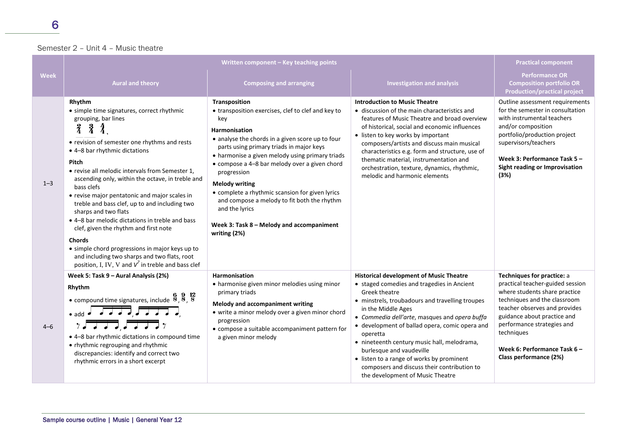## Semester 2 – Unit 4 – Music theatre

|             | Written component - Key teaching points                                                                                                                                                                                                                                                                                                                                                                                                                                                                                                                                                                                                                                                                                        |                                                                                                                                                                                                                                                                                                                                                                                                                                                                                                                                 | <b>Practical component</b>                                                                                                                                                                                                                                                                                                                                                                                                                                                                                       |                                                                                                                                                                                                                                                                                                       |
|-------------|--------------------------------------------------------------------------------------------------------------------------------------------------------------------------------------------------------------------------------------------------------------------------------------------------------------------------------------------------------------------------------------------------------------------------------------------------------------------------------------------------------------------------------------------------------------------------------------------------------------------------------------------------------------------------------------------------------------------------------|---------------------------------------------------------------------------------------------------------------------------------------------------------------------------------------------------------------------------------------------------------------------------------------------------------------------------------------------------------------------------------------------------------------------------------------------------------------------------------------------------------------------------------|------------------------------------------------------------------------------------------------------------------------------------------------------------------------------------------------------------------------------------------------------------------------------------------------------------------------------------------------------------------------------------------------------------------------------------------------------------------------------------------------------------------|-------------------------------------------------------------------------------------------------------------------------------------------------------------------------------------------------------------------------------------------------------------------------------------------------------|
| <b>Week</b> | <b>Aural and theory</b>                                                                                                                                                                                                                                                                                                                                                                                                                                                                                                                                                                                                                                                                                                        | <b>Composing and arranging</b>                                                                                                                                                                                                                                                                                                                                                                                                                                                                                                  | <b>Investigation and analysis</b>                                                                                                                                                                                                                                                                                                                                                                                                                                                                                | <b>Performance OR</b><br><b>Composition portfolio OR</b><br><b>Production/practical project</b>                                                                                                                                                                                                       |
| $1 - 3$     | Rhythm<br>• simple time signatures, correct rhythmic<br>grouping, bar lines<br>$\frac{2}{4}$<br>$\frac{3}{4}$<br>• revision of semester one rhythms and rests<br>• 4-8 bar rhythmic dictations<br>Pitch<br>• revise all melodic intervals from Semester 1,<br>ascending only, within the octave, in treble and<br>bass clefs<br>• revise major pentatonic and major scales in<br>treble and bass clef, up to and including two<br>sharps and two flats<br>• 4-8 bar melodic dictations in treble and bass<br>clef, given the rhythm and first note<br><b>Chords</b><br>• simple chord progressions in major keys up to<br>and including two sharps and two flats, root<br>position, I, IV, V and $V^7$ in treble and bass clef | Transposition<br>• transposition exercises, clef to clef and key to<br>key<br><b>Harmonisation</b><br>• analyse the chords in a given score up to four<br>parts using primary triads in major keys<br>• harmonise a given melody using primary triads<br>• compose a 4-8 bar melody over a given chord<br>progression<br><b>Melody writing</b><br>• complete a rhythmic scansion for given lyrics<br>and compose a melody to fit both the rhythm<br>and the lyrics<br>Week 3: Task 8 - Melody and accompaniment<br>writing (2%) | <b>Introduction to Music Theatre</b><br>• discussion of the main characteristics and<br>features of Music Theatre and broad overview<br>of historical, social and economic influences<br>• listen to key works by important<br>composers/artists and discuss main musical<br>characteristics e.g. form and structure, use of<br>thematic material, instrumentation and<br>orchestration, texture, dynamics, rhythmic,<br>melodic and harmonic elements                                                           | Outline assessment requirements<br>for the semester in consultation<br>with instrumental teachers<br>and/or composition<br>portfolio/production project<br>supervisors/teachers<br>Week 3: Performance Task 5-<br>Sight reading or Improvisation<br>(3%)                                              |
| $4 - 6$     | Week 5: Task 9 - Aural Analysis (2%)<br>Rhythm<br>• compound time signatures, include $\frac{8}{8}, \frac{9}{8}, \frac{12}{8}$<br>$\bullet$ add $\bullet$ $\bullet$ $\bullet$ $\bullet$ $\bullet$ $\bullet$<br>$\overline{TT}$ , $\overline{TT}$ ,<br>• 4-8 bar rhythmic dictations in compound time<br>• rhythmic regrouping and rhythmic<br>discrepancies: identify and correct two<br>rhythmic errors in a short excerpt                                                                                                                                                                                                                                                                                                    | <b>Harmonisation</b><br>• harmonise given minor melodies using minor<br>primary triads<br>Melody and accompaniment writing<br>• write a minor melody over a given minor chord<br>progression<br>• compose a suitable accompaniment pattern for<br>a given minor melody                                                                                                                                                                                                                                                          | <b>Historical development of Music Theatre</b><br>• staged comedies and tragedies in Ancient<br>Greek theatre<br>• minstrels, troubadours and travelling troupes<br>in the Middle Ages<br>• Commedia dell'arte, masques and opera buffa<br>• development of ballad opera, comic opera and<br>operetta<br>• nineteenth century music hall, melodrama,<br>burlesque and vaudeville<br>• listen to a range of works by prominent<br>composers and discuss their contribution to<br>the development of Music Theatre | Techniques for practice: a<br>practical teacher-guided session<br>where students share practice<br>techniques and the classroom<br>teacher observes and provides<br>guidance about practice and<br>performance strategies and<br>techniques<br>Week 6: Performance Task 6 -<br>Class performance (2%) |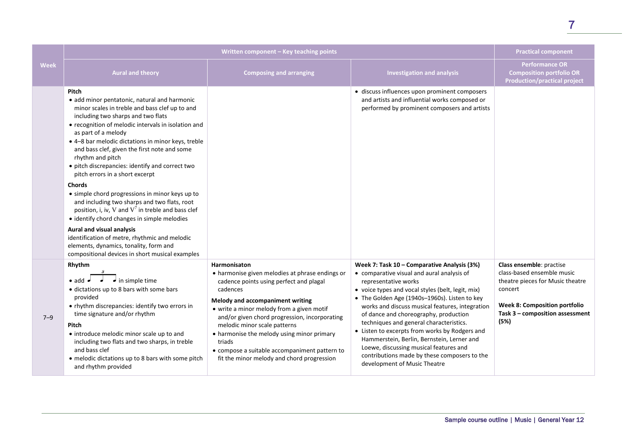|             | Written component - Key teaching points                                                                                                                                                                                                                                                                                                                                                                                                                                                                                                                                                                                                                                                                                                                                                                                                           |                                                                                                                                                                                                                                                                                                                                                                                                                                                 | <b>Practical component</b>                                                                                                                                                                                                                                                                                                                                                                                                                                                                                                                                                               |                                                                                                                                                                                          |
|-------------|---------------------------------------------------------------------------------------------------------------------------------------------------------------------------------------------------------------------------------------------------------------------------------------------------------------------------------------------------------------------------------------------------------------------------------------------------------------------------------------------------------------------------------------------------------------------------------------------------------------------------------------------------------------------------------------------------------------------------------------------------------------------------------------------------------------------------------------------------|-------------------------------------------------------------------------------------------------------------------------------------------------------------------------------------------------------------------------------------------------------------------------------------------------------------------------------------------------------------------------------------------------------------------------------------------------|------------------------------------------------------------------------------------------------------------------------------------------------------------------------------------------------------------------------------------------------------------------------------------------------------------------------------------------------------------------------------------------------------------------------------------------------------------------------------------------------------------------------------------------------------------------------------------------|------------------------------------------------------------------------------------------------------------------------------------------------------------------------------------------|
| <b>Week</b> | <b>Aural and theory</b>                                                                                                                                                                                                                                                                                                                                                                                                                                                                                                                                                                                                                                                                                                                                                                                                                           | <b>Composing and arranging</b>                                                                                                                                                                                                                                                                                                                                                                                                                  | <b>Investigation and analysis</b>                                                                                                                                                                                                                                                                                                                                                                                                                                                                                                                                                        | <b>Performance OR</b><br><b>Composition portfolio OR</b><br><b>Production/practical project</b>                                                                                          |
|             | Pitch<br>• add minor pentatonic, natural and harmonic<br>minor scales in treble and bass clef up to and<br>including two sharps and two flats<br>• recognition of melodic intervals in isolation and<br>as part of a melody<br>• 4-8 bar melodic dictations in minor keys, treble<br>and bass clef, given the first note and some<br>rhythm and pitch<br>• pitch discrepancies: identify and correct two<br>pitch errors in a short excerpt<br><b>Chords</b><br>• simple chord progressions in minor keys up to<br>and including two sharps and two flats, root<br>position, i, iv, V and $V^7$ in treble and bass clef<br>• identify chord changes in simple melodies<br>Aural and visual analysis<br>identification of metre, rhythmic and melodic<br>elements, dynamics, tonality, form and<br>compositional devices in short musical examples |                                                                                                                                                                                                                                                                                                                                                                                                                                                 | • discuss influences upon prominent composers<br>and artists and influential works composed or<br>performed by prominent composers and artists                                                                                                                                                                                                                                                                                                                                                                                                                                           |                                                                                                                                                                                          |
| $7 - 9$     | Rhythm<br>$\bullet$ in simple time<br>$\bullet$ add $\bullet$<br>• dictations up to 8 bars with some bars<br>provided<br>• rhythm discrepancies: identify two errors in<br>time signature and/or rhythm<br>Pitch<br>• introduce melodic minor scale up to and<br>including two flats and two sharps, in treble<br>and bass clef<br>• melodic dictations up to 8 bars with some pitch<br>and rhythm provided                                                                                                                                                                                                                                                                                                                                                                                                                                       | Harmonisaton<br>• harmonise given melodies at phrase endings or<br>cadence points using perfect and plagal<br>cadences<br>Melody and accompaniment writing<br>• write a minor melody from a given motif<br>and/or given chord progression, incorporating<br>melodic minor scale patterns<br>• harmonise the melody using minor primary<br>triads<br>• compose a suitable accompaniment pattern to<br>fit the minor melody and chord progression | Week 7: Task 10 - Comparative Analysis (3%)<br>• comparative visual and aural analysis of<br>representative works<br>• voice types and vocal styles (belt, legit, mix)<br>• The Golden Age (1940s-1960s). Listen to key<br>works and discuss musical features, integration<br>of dance and choreography, production<br>techniques and general characteristics.<br>• Listen to excerpts from works by Rodgers and<br>Hammerstein, Berlin, Bernstein, Lerner and<br>Loewe, discussing musical features and<br>contributions made by these composers to the<br>development of Music Theatre | Class ensemble: practise<br>class-based ensemble music<br>theatre pieces for Music theatre<br>concert<br><b>Week 8: Composition portfolio</b><br>Task 3 - composition assessment<br>(5%) |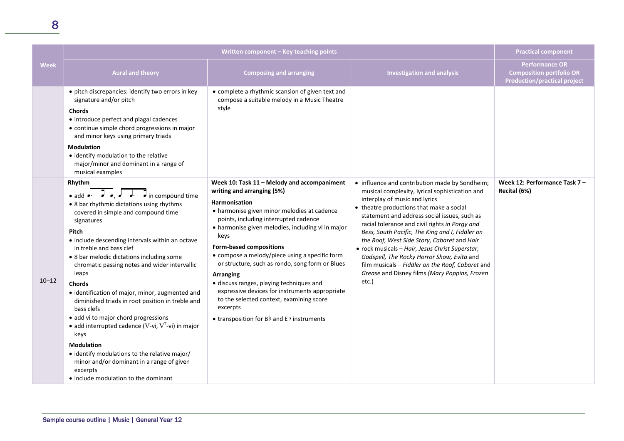|                                                                                                                                                                                                                                 | Written component – Key teaching points                                                                   |  |
|---------------------------------------------------------------------------------------------------------------------------------------------------------------------------------------------------------------------------------|-----------------------------------------------------------------------------------------------------------|--|
| <b>Aural and theory</b>                                                                                                                                                                                                         | <b>Composing and arranging</b>                                                                            |  |
| • pitch discrepancies: identify two errors in key<br>signature and/or pitch<br><b>Chords</b><br>• introduce perfect and plagal cadences<br>• continue simple chord progressions in major<br>and minor keys using primary triads | • complete a rhythmic scansion of given text and<br>compose a suitable melody in a Music Theatre<br>style |  |

#### **Modulation**

• identify modulation to the relative major/minor and dominant in a range of musical examples

#### **Rhythm**

# • add  $\rightarrow$   $\rightarrow$   $\rightarrow$   $\rightarrow$   $\rightarrow$   $\rightarrow$  in compound time

• 8 bar rhythmic dictations using rhythms covered in simple and compound time signatures

#### **Pitch**

- include descending intervals within an octave in treble and bass clef
- 8 bar melodic dictations including some chromatic passing notes and wider intervallic leaps

### 10–12

- **Chords** • identification of major, minor, augmented and diminished triads in root position in treble and bass clefs
- add vi to major chord progressions
- add interrupted cadence (V-vi,  $V^7$ -vi) in major keys

#### **Modulation**

- identify modulations to the relative major/ minor and/or dominant in a range of given excerpts
- include modulation to the dominant

**Form-based compositions** • compose a melody/piece using a specific form or structure, such as rondo, song form or Blues

**Week 10: Task 11 – Melody and accompaniment** 

• harmonise given minor melodies at cadence points, including interrupted cadence • harmonise given melodies, including vi in major

**writing and arranging (5%)**

**Harmonisation**

**Practical component** 

**Performance OR Composition portfolio OR Production/practical project**

**Week 12: Performance Task 7 –**

**Recital (6%)**

**Aural and analysis Investigation and analysis** 

• influence and contribution made by Sondheim; musical complexity, lyrical sophistication and

interplay of music and lyrics • theatre productions that make a social statement and address social issues, such as racial tolerance and civil rights *in Porgy and Bess, South Pacific, The King and I, Fiddler on the Roof, West Side Story, Cabaret* and *Hair* • rock musicals – *Hair, Jesus Christ Superstar, Godspell, The Rocky Horror Show, Evita* and film musicals – *Fiddler on the Roof, Cabaret* and *Grease* and Disney films *(Mary Poppins, Frozen* 

etc.)

#### **Arranging**

keys

- discuss ranges, playing techniques and expressive devices for instruments appropriate to the selected context, examining score excerpts
- transposition for B♭ and E♭ instruments

**Week**